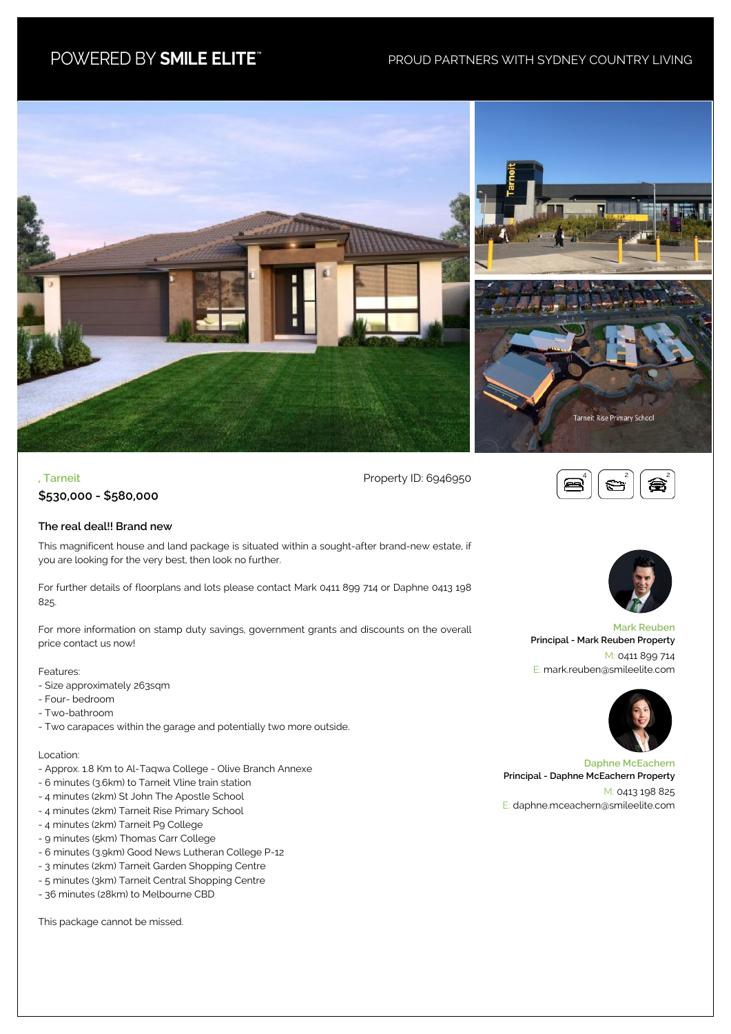# POWERED BY SMILE ELITE"

# PROUD PARTNERS WITH SYDNEY COUNTRY LIVING





**, Tarneit** Property ID: 6946950



**\$530,000 - \$580,000**

### **The real deal!! Brand new**

This magnificent house and land package is situated within a sought-after brand-new estate, if you are looking for the very best, then look no further.

For further details of floorplans and lots please contact Mark 0411 899 714 or Daphne 0413 198 825.

For more information on stamp duty savings, government grants and discounts on the overall price contact us now!

#### Features:

- Size approximately 263sqm
- Four- bedroom
- Two-bathroom
- Two carapaces within the garage and potentially two more outside.

#### Location:

- Approx. 1.8 Km to Al-Taqwa College Olive Branch Annexe
- 6 minutes (3.6km) to Tarneit Vline train station
- 4 minutes (2km) St John The Apostle School
- 4 minutes (2km) Tarneit Rise Primary School
- 4 minutes (2km) Tarneit P9 College
- 9 minutes (5km) Thomas Carr College
- 6 minutes (3.9km) Good News Lutheran College P-12
- 3 minutes (2km) Tarneit Garden Shopping Centre
- 5 minutes (3km) Tarneit Central Shopping Centre
- 36 minutes (28km) to Melbourne CBD

This package cannot be missed.



**Mark Reuben Principal - Mark Reuben Property** M: 0411 899 714 E: mark.reuben@smileelite.com



**Daphne McEachern Principal - Daphne McEachern Property** M: 0413 198 825 E: daphne.mceachern@smileelite.com